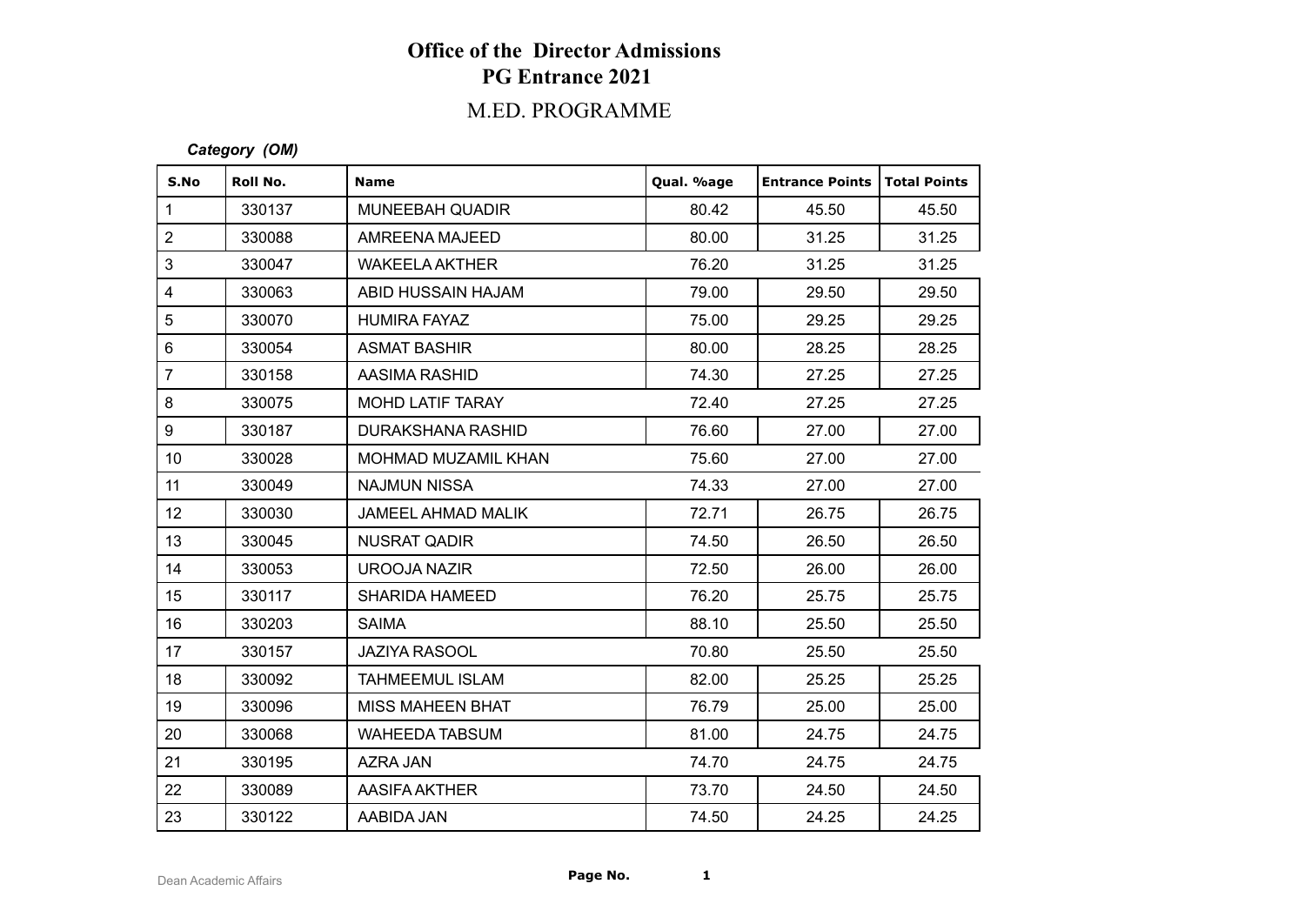## M.ED. PROGRAMME

#### *Category (OM)*

| S.No                    | Roll No. | <b>Name</b>              | Qual. %age | <b>Entrance Points</b> | Total Points |
|-------------------------|----------|--------------------------|------------|------------------------|--------------|
| $\mathbf{1}$            | 330137   | <b>MUNEEBAH QUADIR</b>   | 80.42      | 45.50                  | 45.50        |
| $\overline{2}$          | 330088   | AMREENA MAJEED           | 80.00      | 31.25                  | 31.25        |
| 3                       | 330047   | <b>WAKEELA AKTHER</b>    | 76.20      | 31.25                  | 31.25        |
| $\overline{\mathbf{4}}$ | 330063   | ABID HUSSAIN HAJAM       | 79.00      | 29.50                  | 29.50        |
| 5                       | 330070   | HUMIRA FAYAZ             | 75.00      | 29.25                  | 29.25        |
| $6\phantom{a}$          | 330054   | <b>ASMAT BASHIR</b>      | 80.00      | 28.25                  | 28.25        |
| $\overline{7}$          | 330158   | AASIMA RASHID            | 74.30      | 27.25                  | 27.25        |
| 8                       | 330075   | MOHD LATIF TARAY         | 72.40      | 27.25                  | 27.25        |
| 9                       | 330187   | <b>DURAKSHANA RASHID</b> | 76.60      | 27.00                  | 27.00        |
| 10 <sup>1</sup>         | 330028   | MOHMAD MUZAMIL KHAN      | 75.60      | 27.00                  | 27.00        |
| 11                      | 330049   | <b>NAJMUN NISSA</b>      | 74.33      | 27.00                  | 27.00        |
| 12 <sub>2</sub>         | 330030   | JAMEEL AHMAD MALIK       | 72.71      | 26.75                  | 26.75        |
| 13                      | 330045   | <b>NUSRAT QADIR</b>      | 74.50      | 26.50                  | 26.50        |
| 14                      | 330053   | <b>UROOJA NAZIR</b>      | 72.50      | 26.00                  | 26.00        |
| 15 <sub>15</sub>        | 330117   | <b>SHARIDA HAMEED</b>    | 76.20      | 25.75                  | 25.75        |
| 16                      | 330203   | <b>SAIMA</b>             | 88.10      | 25.50                  | 25.50        |
| 17                      | 330157   | <b>JAZIYA RASOOL</b>     | 70.80      | 25.50                  | 25.50        |
| 18                      | 330092   | <b>TAHMEEMUL ISLAM</b>   | 82.00      | 25.25                  | 25.25        |
| 19                      | 330096   | <b>MISS MAHEEN BHAT</b>  | 76.79      | 25.00                  | 25.00        |
| 20                      | 330068   | <b>WAHEEDA TABSUM</b>    | 81.00      | 24.75                  | 24.75        |
| 21                      | 330195   | AZRA JAN                 | 74.70      | 24.75                  | 24.75        |
| 22                      | 330089   | AASIFA AKTHER            | 73.70      | 24.50                  | 24.50        |
| 23                      | 330122   | AABIDA JAN               | 74.50      | 24.25                  | 24.25        |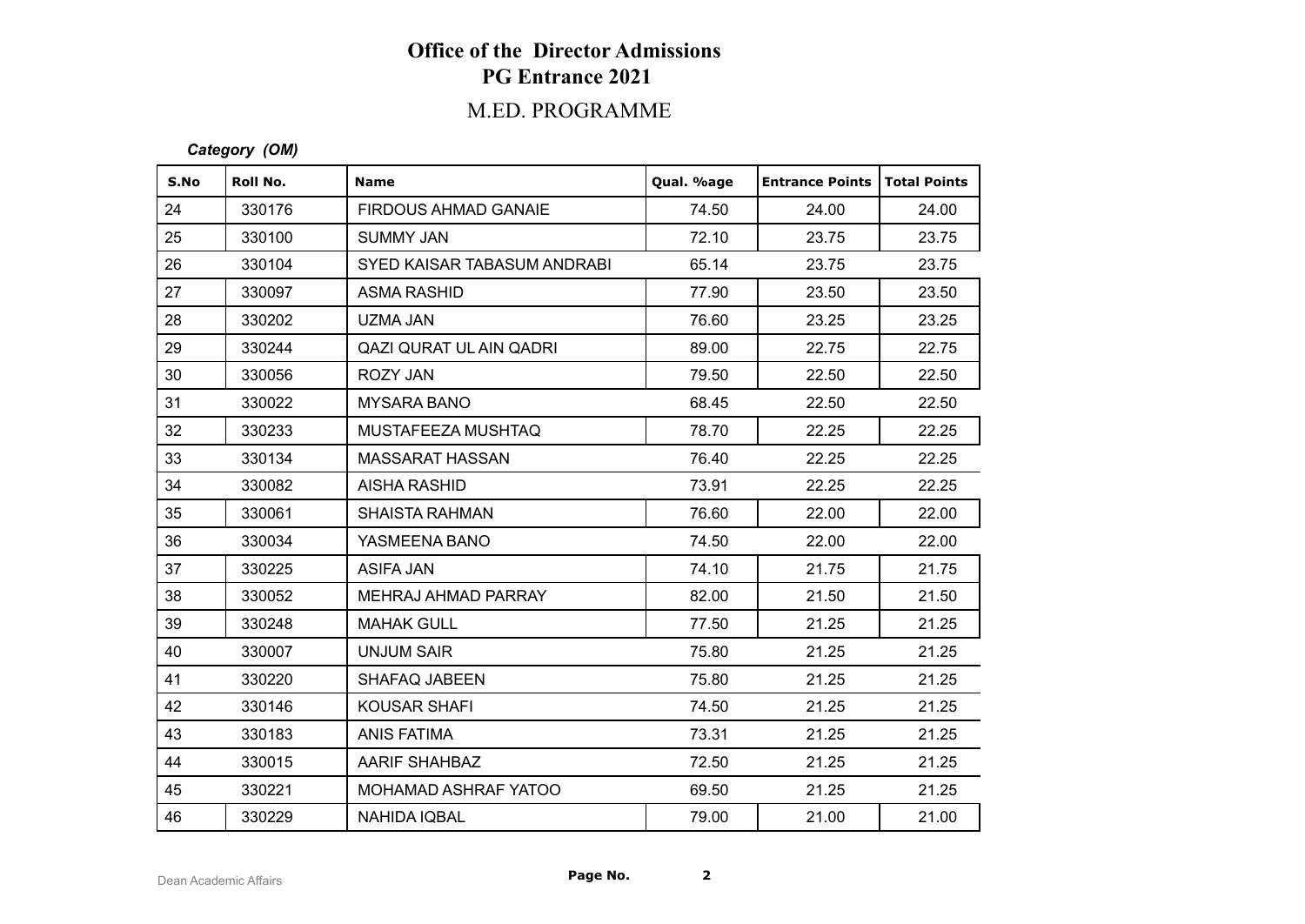## M.ED. PROGRAMME

#### *Category (OM)*

| S.No | Roll No. | <b>Name</b>                 | Qual. %age | <b>Entrance Points   Total Points</b> |       |
|------|----------|-----------------------------|------------|---------------------------------------|-------|
| 24   | 330176   | FIRDOUS AHMAD GANAIE        | 74.50      | 24.00                                 | 24.00 |
| 25   | 330100   | <b>SUMMY JAN</b>            | 72.10      | 23.75                                 | 23.75 |
| 26   | 330104   | SYED KAISAR TABASUM ANDRABI | 65.14      | 23.75                                 | 23.75 |
| 27   | 330097   | ASMA RASHID                 | 77.90      | 23.50                                 | 23.50 |
| 28   | 330202   | UZMA JAN                    | 76.60      | 23.25                                 | 23.25 |
| 29   | 330244   | QAZI QURAT UL AIN QADRI     | 89.00      | 22.75                                 | 22.75 |
| 30   | 330056   | ROZY JAN                    | 79.50      | 22.50                                 | 22.50 |
| 31   | 330022   | <b>MYSARA BANO</b>          | 68.45      | 22.50                                 | 22.50 |
| 32   | 330233   | MUSTAFEEZA MUSHTAQ          | 78.70      | 22.25                                 | 22.25 |
| 33   | 330134   | <b>MASSARAT HASSAN</b>      | 76.40      | 22.25                                 | 22.25 |
| 34   | 330082   | AISHA RASHID                | 73.91      | 22.25                                 | 22.25 |
| 35   | 330061   | <b>SHAISTA RAHMAN</b>       | 76.60      | 22.00                                 | 22.00 |
| 36   | 330034   | YASMEENA BANO               | 74.50      | 22.00                                 | 22.00 |
| 37   | 330225   | ASIFA JAN                   | 74.10      | 21.75                                 | 21.75 |
| 38   | 330052   | MEHRAJ AHMAD PARRAY         | 82.00      | 21.50                                 | 21.50 |
| 39   | 330248   | <b>MAHAK GULL</b>           | 77.50      | 21.25                                 | 21.25 |
| 40   | 330007   | <b>UNJUM SAIR</b>           | 75.80      | 21.25                                 | 21.25 |
| 41   | 330220   | SHAFAQ JABEEN               | 75.80      | 21.25                                 | 21.25 |
| 42   | 330146   | <b>KOUSAR SHAFI</b>         | 74.50      | 21.25                                 | 21.25 |
| 43   | 330183   | <b>ANIS FATIMA</b>          | 73.31      | 21.25                                 | 21.25 |
| 44   | 330015   | <b>AARIF SHAHBAZ</b>        | 72.50      | 21.25                                 | 21.25 |
| 45   | 330221   | MOHAMAD ASHRAF YATOO        | 69.50      | 21.25                                 | 21.25 |
| 46   | 330229   | <b>NAHIDA IQBAL</b>         | 79.00      | 21.00                                 | 21.00 |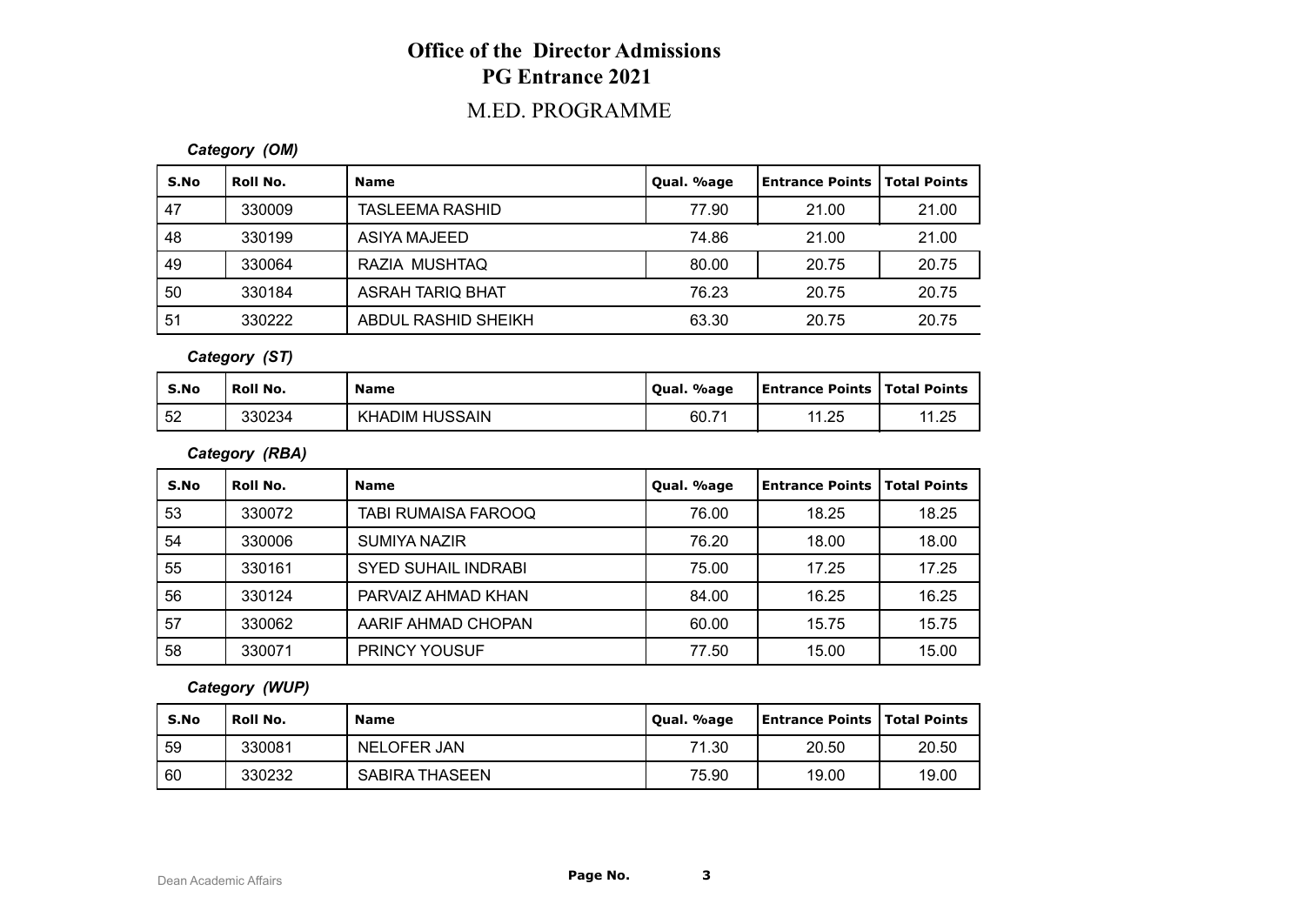## M.ED. PROGRAMME

#### *Category (OM)*

| S.No | Roll No. | <b>Name</b>             | Qual. %age | Entrance Points | Total Points |
|------|----------|-------------------------|------------|-----------------|--------------|
| 47   | 330009   | <b>TASLEEMA RASHID</b>  | 77.90      | 21.00           | 21.00        |
| 48   | 330199   | ASIYA MAJEED            | 74.86      | 21.00           | 21.00        |
| 49   | 330064   | RAZIA MUSHTAQ           | 80.00      | 20.75           | 20.75        |
| -50  | 330184   | <b>ASRAH TARIQ BHAT</b> | 76.23      | 20.75           | 20.75        |
| -51  | 330222   | ABDUL RASHID SHEIKH     | 63.30      | 20.75           | 20.75        |

*Category (ST)*

| S.No | <b>Roll No.</b> | <b>Name</b>                | Qual. %age | <b>Entrance Points   Total Points</b> |       |
|------|-----------------|----------------------------|------------|---------------------------------------|-------|
| 52   | 330234          | ' HUSSAIN<br><b>KHADIM</b> | 60.7'      | 11.25                                 | 11.25 |

*Category (RBA)*

| S.No | Roll No. | <b>Name</b>                | Qual. %age | <b>Entrance Points</b> | <b>Total Points</b> |
|------|----------|----------------------------|------------|------------------------|---------------------|
| 53   | 330072   | <b>TABI RUMAISA FAROOQ</b> | 76.00      | 18.25                  | 18.25               |
| 54   | 330006   | SUMIYA NAZIR               | 76.20      | 18.00                  | 18.00               |
| 55   | 330161   | <b>SYED SUHAIL INDRABI</b> | 75.00      | 17.25                  | 17.25               |
| 56   | 330124   | PARVAIZ AHMAD KHAN         | 84.00      | 16.25                  | 16.25               |
| 57   | 330062   | AARIF AHMAD CHOPAN         | 60.00      | 15.75                  | 15.75               |
| 58   | 330071   | <b>PRINCY YOUSUF</b>       | 77.50      | 15.00                  | 15.00               |

#### *Category (WUP)*

| S.No | Roll No. | <b>Name</b>    | Qual. %age | <b>Entrance Points   Total Points</b> |       |
|------|----------|----------------|------------|---------------------------------------|-------|
| 59   | 330081   | NELOFER JAN    | 71.30      | 20.50                                 | 20.50 |
| 60   | 330232   | SABIRA THASEEN | 75.90      | 19.00                                 | 19.00 |